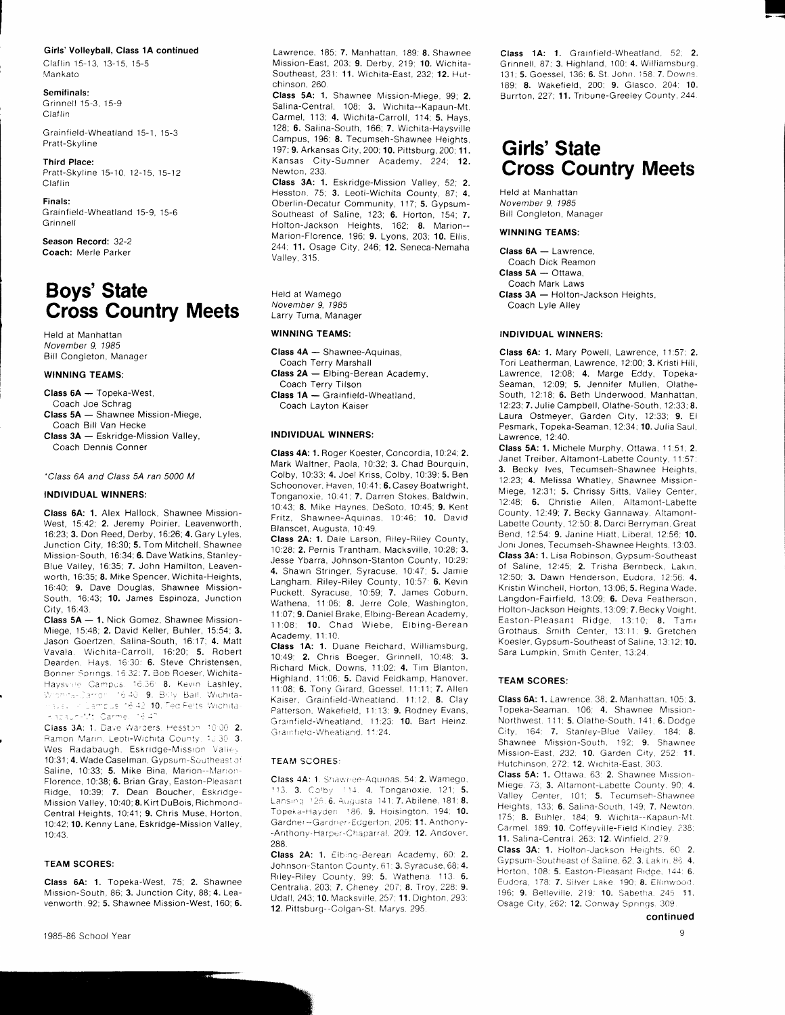## Girls' Volleyball, Class 1A continued

Claflin 15-13, 13-15, 15-5 Mankato

Semifinals: Grinnell 15-3, 15-9 **Claflin** 

Grainfield-Wheatland 15-1, 15-3 Pratt-Skyline

Third Place: Pratt-Skyline 15-10, 12-15, 15-12 Claflin

Finals: Grainfield-Wheatland 15-9, 15-6 Grinnell

Season Record: 32-2 Coach: Merle Parker

# Boys' State Cross Country Meets

Held at Manhattan November 9. 1985 Bill Congieton, Manager

## WINNING TEAMS:

Class 6A - Topeka-West,

- Coach Joe Schrag Class 5A - Shawnee Mission-Miege,
- Coach Bill Van Hecxe Class 3A - Eskridge-Mission Valley, Coach Dennis Conner

#### -Class 64 and C/ass 54 ran 5000 M

## INDIVIDUAL WINNERS:

Class 64: 1. Alex Hallock, Shawnee Mission-West, I5:42, 2. Jeremy Poirier, Leavenworth, 16:23; 3. Don Reed, Derby, 16:26; 4. Gary Lyles, Junction City, 16:30; 5. Tom Mitchell, Shawnee Mission-South, 16:34; 6. Dave Watkins, Stanley-Blue Valley, 16:35; 7. John Hamilton, Leavenworth, 16:35; **8.** Mike Spencer. Wichita-Heights, 16:40; 9. Dave Douglas, Shawnee Mission-South, 16:43; 10. James Espinoza, Junction City, 16:43

Class 5A - 1. Nick Gomez, Shawnee Mission-Miege, 15:48; 2. David Keller, Buhler, 15:54; 3. Jason Goertzen, Salina-South, 16.17; 4. Matt Vavala, Wichita-Carroll, 16:20; 5. Robert Dearden. Hays. 16:30: 6. Steve Christensen, Bonner Springs. 16:32: 7. Bob Roeser. Wichita-Haysvire Campus. 16.36: 8. Kevin Lashley, t,r. ^:: '- 'r' - '': -1.: 9. 3' ,,, Salt Wrr;hrta- :3.3. / Campus 16,42-10. Ted Felts: Wichita. rission-Mt. Carmellinë 47

Class 3A: 1. Dave Warders. Hesston 10:00 2. Ramon Marin. Leoti-Wichita County. 13 30 3 Wes Radabaugh, Eskridge-Mission Valley 10:31; 4. Wade Caselman, Gypsum-Southeast of Saline, 10:33; 5. Mike Bina, Marion--Marion-Florence, 10:38; 6. Brian Gray, Easton-Pleasant Ridge, 10:39; 7. Dean Boucher, Eskridge-Mission Valley, 10:40; 8. Kirt DuBois, Richmond-Central Heights, 10:41; 9. Chris Muse, Horton, 10:42; 10. Kenny Lane, Eskridge-Mission Valley, 10:43.

## TEAM SCORES:

Class 6A: 1. Topeka-West, 75; 2. Shawnee Mission-South, 86; 3. Junction City, 88, 4. Leavenworth. 92; 5. Shawnee Mission-West, 160; 6. Lawrence, 185: 7. Manhattan, 189; 8. Shawnee Mission-East, 203: 9. Derby, 219: 10. Wichita-Southeast, 231: 11. Wichita-East, 232; 12. Hutchinson. 260

Class 5A: 1. Shawnee Mission-Miege, 99; 2. Salina-Central, 108: 3. Wichita--Kapaun-Mt. Carmel, 113, 4. Wichita-Carroll, 114: 5. Hays, 128; 6. Salina-South, 166; 7. Wichita-Haysville Campus, 196; 8. Tecumseh-Shawnee Heights, 197: 9. Arkansas City, 200; 10. Pittsburg, 200; 11. Kansas City-Sumner Academy, 224; 12. Newton. 233.

Class 3A: 1. Eskridge-Mission Valley, 52; 2. Hesston, 75; 3. Leoti-Wichita County, 87; 4. Oberlin-Decatur Community, 117; 5. Gypsum-Southeast of Saline, 123; 6. Horton, 154; 7. Holton-Jackson Heights, 162; 8. Marion--Marion-Florence, 196; 9. Lyons, 203; 10. Ellis, 244, 11. Osage City, 246, 12. Seneca-Nemaha Valley,315.

Held at Wamego November 9, 1985 Larry Tuma, Manager

### WINNING TEAMS:

Class 4A - Shawnee-Aquinas, Coach Terry Marshall Class 2A - Elbing-Berean Academy. Coach Terry Tilson Class 1A - Grainfield-Wheatland, Coach Layton Kaiser

#### INDIVIDUAL WINNERS:

Class 4A: 1. Roger Koester, Concordia, 10:24; 2. Mark Waitner, Paola, 10:32; 3. Chad Bourquin, Colby, 10:33; 4. Joel Kriss, Colby, l0:39; 5. Ben Schoonover, Haven, 10:41; 6. Casey Boatwright, Tonganoxie, 10 41: 7. Darren Stokes, Baldwin 10:43; 8. Mike Haynes, DeSoto, 10:45; 9. Kent Fritz, Shawnee-Aquinas, 10:46; 10. David Bianscet, Augusta, 10:49.

Class 2A: 1. Dale Larson, Riley-Biley County, 10:28; 2. Pernis Trantham, Macksville, 10:28; 3. .Jesse Ybarra, Johnson-Stanton County, 10:29; 4. Shawn Stringer, Syracuse, 10:47; 5. Jamie Langham, Riley-Riley County, 10:57: 6. Kevin Puckett, Syracuse, 10:59; 7. James Coburn, Wathena, 11:06; 8. Jerre Cole, Washington, 1 1:07; 9. Daniel Brake, Elbing-Berean Academy. 11:08; 10. Chad Wiebe, Elbing-Berean Academy, 11:10.

Class 1A: 1. Duane Reichard, Williamsburg, 10:49; 2. Chris Boeger, Grinnell, 10:48; 3. Richard Mick, Downs, 11:02; 4. Tim Blanton, Highland. 11:06; 5. David Feldkamp, Hanover. 11:08: 6. Tony Girard, Goessel, 11:11; 7. Allen Kaiser, Grainfield-Wheatland. 11:12, 8. Clay Patterson. Wakefield, 11:13; 9. Rodney Evans Grainfield-Wheatland, 11:23; 10. Bart Heinz Grainfield-Wheatiand. 11:24.

### TEAM SCORES:

Class 4A: 1. Shawnee-Aquinas, 54; 2. Wamego, 113. 3. Colby  $114$ . 4. Tonganoxie, 121; 5. Lansing: 125. 6. Augusta: 141. 7. Abilene, 181. 8. Topeka-Hayden 186, 9. Hoisington, 194; 10. Gardner -- Gardner-Edgerton, 206: 11. Anthony--Anthony-Harper-Chaparral, 209; 12. Andover, 288.

Class 2A: 1. Elbing-Berean Academy, 60: 2. Johnson-Stanton County, 61; 3. Syracuse, 68; 4. Riley-Riley County, 99; 5. Wathena. 113. 6. Centralia, 203; 7. Cheney. 207; 8. Troy, 228: 9. Udall, 243; 10. Macksville, 257; 11. Dighton, 293 12. Pittsburg--Colgan-St. Marys, 295

Class 1A: 1. Grainfield-Wheatland, 52; 2. Grinnell, 87; 3. Highland, 100: 4. Williamsburg, 131; 5. Goessel, 136; 6. St. John, 158: 7. Downs. 189; 8. Wakefield, 200; 9. Glasco, 204; 10. Burrton, 227; 11. Tribune-Greeley County, 244

I

# Girls' State Cross Country Meets

Held at Manhattan November 9. 1985 Bill Congleton, Manager

## WINNING TEAMS:

 $Class 6A - Lawrence$ , Coach Dick Reamon  $Class 5A - *Ortawa*$ Coach Mark Laws Class 3A - Holton-Jackson Heights, Coach Lyle Alley

#### INDIVIDUAL WINNERS:

Class 6A: 1. Mary Powell, Lawrence, 11.57. 2. Tori Leatherman, Lawrence, 12:00, 3. Kristi Hill, Lawrence, 12:08; 4. Marge Eddy, Topeka-Seaman, 12:09; 5. Jennifer Mullen, Olathe-South, 12:18; 6. Beth Underwood, Manhattan, 12:23; 7. Julie Campbell, Olathe-South, 12:33; 8. Laura Ostmeyer, Garden City, 12:33; 9. El Pesmark, Topeka-Seaman, 12:34; 10. Julia Saul, Lawrence, 12:40.

Class 5A: 1. Michele Murphy, Ottawa, 11:51; 2. Janet Treiber, Altamont-Labette County, 11:57; 3. Becky lves, Tecumseh-Shawnee Heights. 12.23: 4. Melissa Whatley, Shawnee Mission-Miege, 12:31; 5. Chrissy Sitts, Valley Center, 12:48; 6. Christie Allen, Altamont-Labette County, 12:49; 7. Becky Gannaway, Altamont-Labette County, 12:50: 8. Darci Berryman. Great Bend, 12:54: 9. Janine Hiatt, Liberal, 12:56; 10. Joni Jones, Tecumseh-Shawnee Heights, 13:03. Class 3A: 1. Lisa Robinson, Gypsum-Southeast of Saline, 12:45; 2. Trisha Bernbeck, Lakin. 12:50; 3. Dawn Henderson, Eudora, 12:56: 4. Kristin Winchell, Horton, 13:06; 5. Regina Wade. Langdon-Fairfield, 13:09; 6. Deva Featherson, Holton-Jackson Heights, 13:09; 7. Becky Vorght. Easton-Pleasant Ridge, 13:10; 8. Tami Grothaus, Smith Center, 13:11: 9. Gretchen Koesler, Gypsum-Southeast of Saline, 13:12; 10. Sara Lumpkin, Smith Center, 13:24.

### TEAM SCORES:

Class 6A: 1. Lawrence, 38; 2. Manhattan, 105; 3. Topeka-Seaman, 106; 4. Shawnee Mission-Northwest. 111: 5. Olathe-South. 141: 6. Dodge City, 164: 7. Stanley-Blue Valley. 184: 8. Shawnee Mission-South. 192. 9. Shawnee Mission-East, 232; 10. Garden City. 252: 11. Hutchinson, 272; 12. Wichita-East, 303.

Class 5A: 1. Ottawa. 63: 2. Shawnee Mission-Miege. 73; 3. Altamont-Labette County. 90; 4. Valley Center, 101; 5. Tecumseh-Shawnee Heights, 133; 6. Salina-South, 149; 7. Newton  $175$ , 8. Buhler,  $184$ ; 9. Wichita--Kapaun-Mt Carmel, 189; 10. Coffeyville-Field Kindley. 238. 11. Salina-Central. 263; 12. Winfield, 279.

Class 3A: 1. Holton-Jackson Heights. 60, 2. Gypsum-Southeast of Saline. 62: 3. Lakin. 86. 4. Horton, 108: 5. Easton-Pleasant Ridge, 144: 6. Eudora, 178: 7. Silver-Lake. 190: 8. Ellinwood. 196; 9. Belleville, 219: 10. Sabetha. 245 11. Osage City, 262: 12. Conway Springs, 309

continued